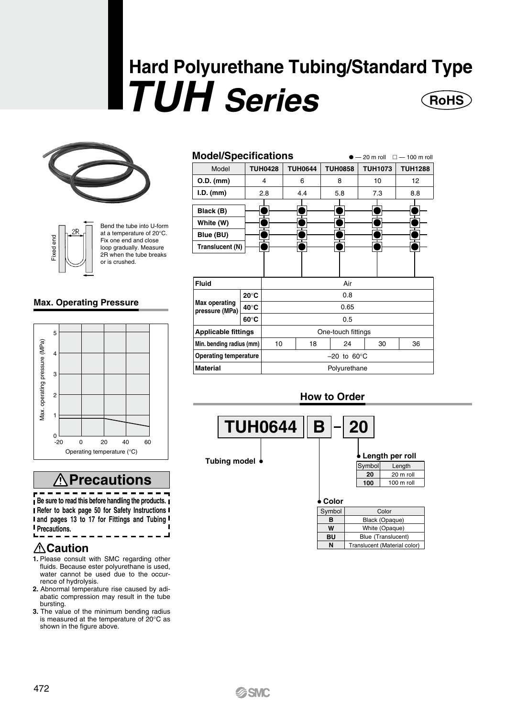# **Hard Polyurethane Tubing/Standard Type**  *TUH Series* **RoHS**





Bend the tube into U-form at a temperature of 20°C. Fix one end and close loop gradually. Measure<br>2R when the tube breaks or is crushed.

#### **Max. Operating Pressure**



## **Precautions**

**Be sure to read this before handling the products. Refer to back page 50 for Safety Instructions and pages 13 to 17 for Fittings and Tubing Precautions.**

## **Caution**

- **1.** Please consult with SMC regarding other fluids. Because ester polyurethane is used, water cannot be used due to the occurrence of hydrolysis.
- **2.** Abnormal temperature rise caused by adiabatic compression may result in the tube bursting.
- **3.** The value of the minimum bending radius is measured at the temperature of 20°C as<br>shown in the figure above.

| <b>Model/Specifications</b><br>$-20$ m roll<br>$\square$ $-$ 100 m roll |                |                         |                |                |                |  |
|-------------------------------------------------------------------------|----------------|-------------------------|----------------|----------------|----------------|--|
| Model                                                                   | <b>TUH0428</b> | <b>TUH0644</b>          | <b>TUH0858</b> | <b>TUH1073</b> | <b>TUH1288</b> |  |
| O.D. (mm)                                                               | 4              | 6                       | 8              | 10             | 12             |  |
| $I.D.$ (mm)                                                             | 2.8            | 4.4                     | 5.8            | 7.3            | 8.8            |  |
| Black (B)<br>White (W)                                                  |                |                         |                |                |                |  |
| Blue (BU)                                                               |                |                         |                |                |                |  |
| Translucent (N)                                                         |                |                         |                |                |                |  |
|                                                                         |                |                         |                |                |                |  |
| Fluid                                                                   |                | Air                     |                |                |                |  |
|                                                                         | $20^{\circ}$ C | 0.8                     |                |                |                |  |
| <b>Max operating</b><br>pressure (MPa)                                  | $40^{\circ}$ C | 0.65                    |                |                |                |  |
|                                                                         | $60^{\circ}$ C | 0.5                     |                |                |                |  |
| <b>Applicable fittings</b>                                              |                | One-touch fittings      |                |                |                |  |
| Min. bending radius (mm)                                                | 10             | 18                      | 24             | 30             | 36             |  |
| <b>Operating temperature</b>                                            |                | $-20$ to 60 $\degree$ C |                |                |                |  |
| <b>Material</b>                                                         |                | Polyurethane            |                |                |                |  |

### **How to Order**



| Symbol | Color                        |
|--------|------------------------------|
| в      | Black (Opaque)               |
| W      | White (Opaque)               |
| BU     | Blue (Translucent)           |
| N      | Translucent (Material color) |

## **SSMC**